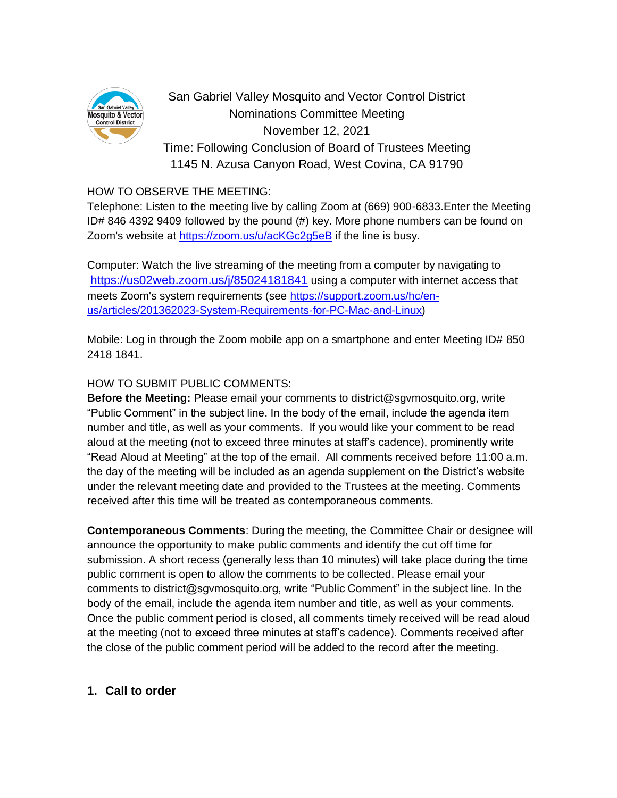

San Gabriel Valley Mosquito and Vector Control District Nominations Committee Meeting November 12, 2021 Time: Following Conclusion of Board of Trustees Meeting 1145 N. Azusa Canyon Road, West Covina, CA 91790

### HOW TO OBSERVE THE MEETING:

Telephone: Listen to the meeting live by calling Zoom at (669) 900-6833.Enter the Meeting ID# 846 4392 9409 followed by the pound (#) key. More phone numbers can be found on Zoom's website at<https://zoom.us/u/acKGc2g5eB> if the line is busy.

Computer: Watch the live streaming of the meeting from a computer by navigating to <https://us02web.zoom.us/j/85024181841> using a computer with internet access that meets Zoom's system requirements (see [https://support.zoom.us/hc/en](https://support.zoom.us/hc/en-us/articles/201362023-System-Requirements-for-PC-Mac-and-Linux)[us/articles/201362023-System-Requirements-for-PC-Mac-and-Linux\)](https://support.zoom.us/hc/en-us/articles/201362023-System-Requirements-for-PC-Mac-and-Linux)

Mobile: Log in through the Zoom mobile app on a smartphone and enter Meeting ID# 850 2418 1841.

## HOW TO SUBMIT PUBLIC COMMENTS:

**Before the Meeting:** Please email your comments to district@sgvmosquito.org, write "Public Comment" in the subject line. In the body of the email, include the agenda item number and title, as well as your comments. If you would like your comment to be read aloud at the meeting (not to exceed three minutes at staff's cadence), prominently write "Read Aloud at Meeting" at the top of the email. All comments received before 11:00 a.m. the day of the meeting will be included as an agenda supplement on the District's website under the relevant meeting date and provided to the Trustees at the meeting. Comments received after this time will be treated as contemporaneous comments.

**Contemporaneous Comments**: During the meeting, the Committee Chair or designee will announce the opportunity to make public comments and identify the cut off time for submission. A short recess (generally less than 10 minutes) will take place during the time public comment is open to allow the comments to be collected. Please email your comments to district@sgvmosquito.org, write "Public Comment" in the subject line. In the body of the email, include the agenda item number and title, as well as your comments. Once the public comment period is closed, all comments timely received will be read aloud at the meeting (not to exceed three minutes at staff's cadence). Comments received after the close of the public comment period will be added to the record after the meeting.

# **1. Call to order**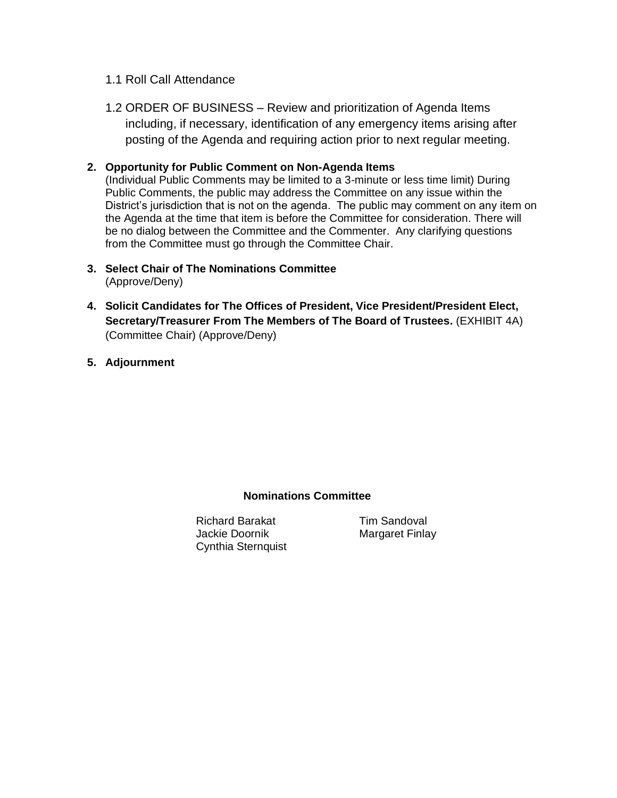#### 1.1 Roll Call Attendance

1.2 ORDER OF BUSINESS – Review and prioritization of Agenda Items including, if necessary, identification of any emergency items arising after posting of the Agenda and requiring action prior to next regular meeting.

#### **2. Opportunity for Public Comment on Non-Agenda Items**

(Individual Public Comments may be limited to a 3-minute or less time limit) During Public Comments, the public may address the Committee on any issue within the District's jurisdiction that is not on the agenda. The public may comment on any item on the Agenda at the time that item is before the Committee for consideration. There will be no dialog between the Committee and the Commenter. Any clarifying questions from the Committee must go through the Committee Chair.

- **3. Select Chair of The Nominations Committee**  (Approve/Deny)
- **4. Solicit Candidates for The Offices of President, Vice President/President Elect, Secretary/Treasurer From The Members of The Board of Trustees.** (EXHIBIT 4A) (Committee Chair) (Approve/Deny)
- **5. Adjournment**

### **Nominations Committee**

Richard Barakat Tim Sandoval Jackie Doornik Margaret Finlay Cynthia Sternquist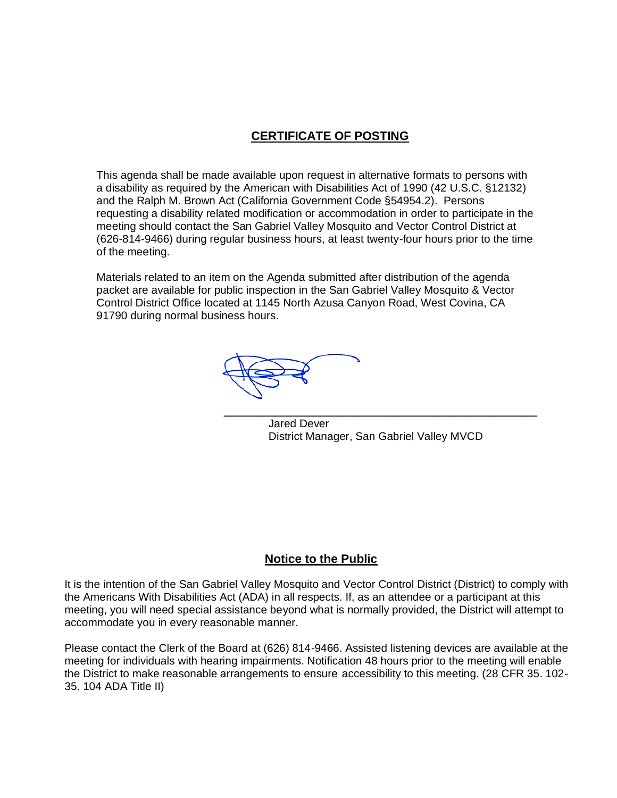# **CERTIFICATE OF POSTING**

This agenda shall be made available upon request in alternative formats to persons with a disability as required by the American with Disabilities Act of 1990 (42 U.S.C. §12132) and the Ralph M. Brown Act (California Government Code §54954.2). Persons requesting a disability related modification or accommodation in order to participate in the meeting should contact the San Gabriel Valley Mosquito and Vector Control District at (626-814-9466) during regular business hours, at least twenty-four hours prior to the time of the meeting.

Materials related to an item on the Agenda submitted after distribution of the agenda packet are available for public inspection in the San Gabriel Valley Mosquito & Vector Control District Office located at 1145 North Azusa Canyon Road, West Covina, CA 91790 during normal business hours.

\_\_\_\_\_\_\_\_\_\_\_\_\_\_\_\_\_\_\_\_\_\_\_\_\_\_\_\_\_\_\_\_\_\_\_\_\_\_\_\_\_\_\_

Jared Dever District Manager, San Gabriel Valley MVCD

### **Notice to the Public**

It is the intention of the San Gabriel Valley Mosquito and Vector Control District (District) to comply with the Americans With Disabilities Act (ADA) in all respects. If, as an attendee or a participant at this meeting, you will need special assistance beyond what is normally provided, the District will attempt to accommodate you in every reasonable manner.

Please contact the Clerk of the Board at (626) 814-9466. Assisted listening devices are available at the meeting for individuals with hearing impairments. Notification 48 hours prior to the meeting will enable the District to make reasonable arrangements to ensure accessibility to this meeting. (28 CFR 35. 102- 35. 104 ADA Title II)